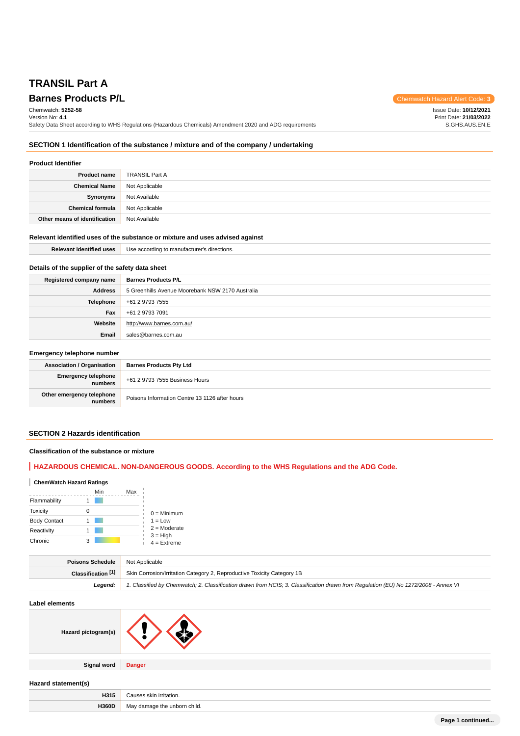# **TRANSIL Part A**

**Barnes Products P/L Chemwatch Hazard Alert Code: 3** Chemwatch: **5252-58** Version No: **4.1** Safety Data Sheet according to WHS Regulations (Hazardous Chemicals) Amendment 2020 and ADG requirements Issue Date: **10/12/2021** Print Date: **21/03/2022** S.GHS.AUS.EN.E

### **SECTION 1 Identification of the substance / mixture and of the company / undertaking**

### **Product Identifier**

| <b>Product name</b>           | <b>TRANSIL Part A</b> |
|-------------------------------|-----------------------|
| <b>Chemical Name</b>          | Not Applicable        |
| Synonyms                      | Not Available         |
| Chemical formula              | Not Applicable        |
| Other means of identification | Not Available         |

### **Relevant identified uses of the substance or mixture and uses advised against**

| <b>Relevant identified uses</b>                  | Use according to manufacturer's directions. |  |  |
|--------------------------------------------------|---------------------------------------------|--|--|
| Details of the supplier of the safety data sheet |                                             |  |  |
| Registered company name                          | <b>Barnes Products P/L</b>                  |  |  |
| $\cdots$                                         |                                             |  |  |

| Address   | 5 Greenhills Avenue Moorebank NSW 2170 Australia |  |
|-----------|--------------------------------------------------|--|
| Telephone | +61 2 9793 7555                                  |  |
| Fax       | +61 2 9793 7091                                  |  |
| Website   | http://www.barnes.com.au/                        |  |
| Email     | sales@barnes.com.au                              |  |

### **Emergency telephone number**

| <b>Association / Organisation</b>    | <b>Barnes Products Pty Ltd</b>                 |
|--------------------------------------|------------------------------------------------|
| Emergency telephone<br>numbers       | +61 2 9793 7555 Business Hours                 |
| Other emergency telephone<br>numbers | Poisons Information Centre 13 1126 after hours |

### **SECTION 2 Hazards identification**

### **Classification of the substance or mixture**

## **HAZARDOUS CHEMICAL. NON-DANGEROUS GOODS. According to the WHS Regulations and the ADG Code.**

### **ChemWatch Hazard Ratings**

|                     |   | Min | Max |                             |
|---------------------|---|-----|-----|-----------------------------|
| Flammability        |   |     |     |                             |
| <b>Toxicity</b>     |   |     |     | $0 =$ Minimum               |
| <b>Body Contact</b> |   |     |     | $1 = Low$                   |
| Reactivity          |   |     |     | $2 =$ Moderate              |
| Chronic             | 3 |     |     | $3 = High$<br>$4 =$ Extreme |

| Poisons Schedule   | Not Applicable                                                                                                                      |
|--------------------|-------------------------------------------------------------------------------------------------------------------------------------|
| Classification [1] | Skin Corrosion/Irritation Category 2, Reproductive Toxicity Category 1B                                                             |
| Leaend:            | 1. Classified by Chemwatch; 2. Classification drawn from HCIS; 3. Classification drawn from Requlation (EU) No 1272/2008 - Annex VI |

#### **Label elements**

| Hazard pictogram(s) |  |
|---------------------|--|
|---------------------|--|

**Signal word Danger**

#### **Hazard statement(s)**

| . .        |             |
|------------|-------------|
| .<br>H315  | :ation.<br> |
| H360P<br>. | child.      |
|            |             |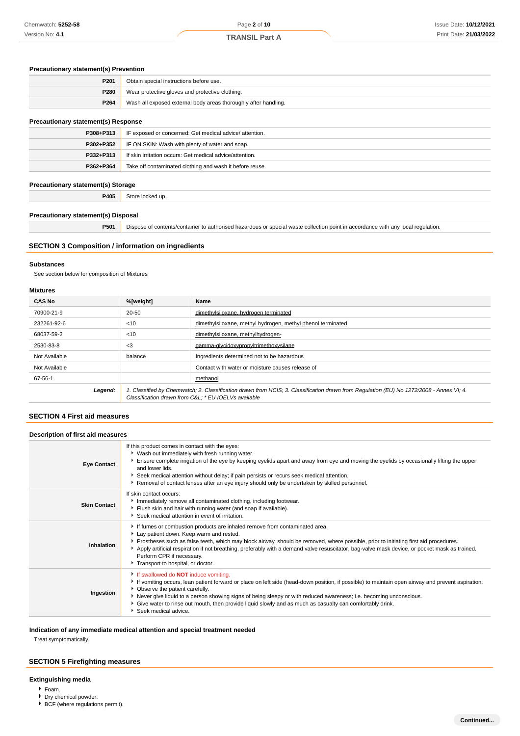### **Precautionary statement(s) Prevention**

| P <sub>201</sub> | Obtain special instructions before use.                         |
|------------------|-----------------------------------------------------------------|
| P <sub>280</sub> | Wear protective gloves and protective clothing.                 |
| P <sub>264</sub> | Wash all exposed external body areas thoroughly after handling. |

### **Precautionary statement(s) Response**

| <b>Precautionally Statement(S) Response</b> |                                                                         |  |
|---------------------------------------------|-------------------------------------------------------------------------|--|
|                                             | <b>P308+P313</b> IF exposed or concerned: Get medical advice/attention. |  |
| $P302 + P352$                               | IF ON SKIN: Wash with plenty of water and soap.                         |  |
| P332+P313                                   | If skin irritation occurs: Get medical advice/attention.                |  |
| P362+P364                                   | Take off contaminated clothing and wash it before reuse.                |  |

### **Precautionary statement(s) Storage**

**P405** Store locked up.

#### **Precautionary statement(s) Disposal**

**P501** Dispose of contents/container to authorised hazardous or special waste collection point in accordance with any local regulation.

### **SECTION 3 Composition / information on ingredients**

#### **Substances**

See section below for composition of Mixtures

### **Mixtures**

| <b>CAS No</b> | %[weight]                                                                                                                                                                                       | Name                                                        |  |
|---------------|-------------------------------------------------------------------------------------------------------------------------------------------------------------------------------------------------|-------------------------------------------------------------|--|
| 70900-21-9    | 20-50                                                                                                                                                                                           | dimethylsiloxane, hydrogen terminated                       |  |
| 232261-92-6   | < 10                                                                                                                                                                                            | dimethylsiloxane, methyl hydrogen, methyl phenol terminated |  |
| 68037-59-2    | < 10                                                                                                                                                                                            | dimethylsiloxane, methylhydrogen-                           |  |
| 2530-83-8     | $<$ 3<br>gamma-glycidoxypropyltrimethoxysilane                                                                                                                                                  |                                                             |  |
| Not Available | balance<br>Ingredients determined not to be hazardous                                                                                                                                           |                                                             |  |
| Not Available |                                                                                                                                                                                                 | Contact with water or moisture causes release of            |  |
| 67-56-1       |                                                                                                                                                                                                 | methanol                                                    |  |
| Legend:       | 1. Classified by Chemwatch; 2. Classification drawn from HCIS; 3. Classification drawn from Regulation (EU) No 1272/2008 - Annex VI; 4.<br>Classification drawn from C&L: * EU IOELVs available |                                                             |  |

### **SECTION 4 First aid measures**

#### **Description of first aid measures**

| <b>Eye Contact</b>  | If this product comes in contact with the eyes:<br>▶ Wash out immediately with fresh running water.<br>Ensure complete irrigation of the eye by keeping eyelids apart and away from eye and moving the eyelids by occasionally lifting the upper<br>and lower lids.<br>Seek medical attention without delay; if pain persists or recurs seek medical attention.<br>Removal of contact lenses after an eye injury should only be undertaken by skilled personnel.                               |
|---------------------|------------------------------------------------------------------------------------------------------------------------------------------------------------------------------------------------------------------------------------------------------------------------------------------------------------------------------------------------------------------------------------------------------------------------------------------------------------------------------------------------|
| <b>Skin Contact</b> | If skin contact occurs:<br>Immediately remove all contaminated clothing, including footwear.<br>Flush skin and hair with running water (and soap if available).<br>Seek medical attention in event of irritation.                                                                                                                                                                                                                                                                              |
| Inhalation          | If fumes or combustion products are inhaled remove from contaminated area.<br>Lay patient down. Keep warm and rested.<br>▶ Prostheses such as false teeth, which may block airway, should be removed, where possible, prior to initiating first aid procedures.<br>Apply artificial respiration if not breathing, preferably with a demand valve resuscitator, bag-valve mask device, or pocket mask as trained.<br>Perform CPR if necessary.<br>Transport to hospital, or doctor.             |
| Ingestion           | If swallowed do <b>NOT</b> induce vomiting.<br>If vomiting occurs, lean patient forward or place on left side (head-down position, if possible) to maintain open airway and prevent aspiration.<br>• Observe the patient carefully.<br>▶ Never give liquid to a person showing signs of being sleepy or with reduced awareness; i.e. becoming unconscious.<br>Give water to rinse out mouth, then provide liquid slowly and as much as casualty can comfortably drink.<br>Seek medical advice. |

#### **Indication of any immediate medical attention and special treatment needed**

Treat symptomatically.

### **SECTION 5 Firefighting measures**

### **Extinguishing media**

- Foam.
- Dry chemical powder.  $\blacktriangleright$  BCF (where regulations permit).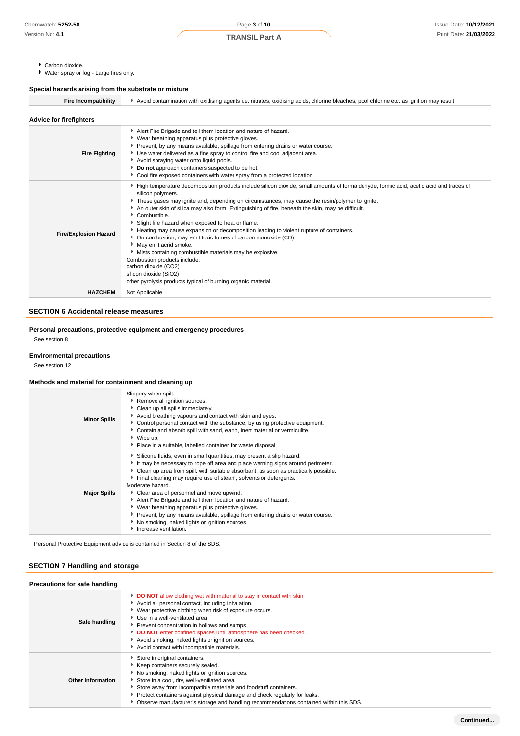**TRANSIL Part A**

- Carbon dioxide.
- Water spray or fog Large fires only.

### **Special hazards arising from the substrate or mixture**

| <b>Fire Incompatibility</b>    | Avoid contamination with oxidising agents i.e. nitrates, oxidising acids, chlorine bleaches, pool chlorine etc. as ignition may result                                                                                                                                                                                                                                                                                                                                                                                                                                                                                                                                                                                                                                                                                                      |  |  |  |  |
|--------------------------------|---------------------------------------------------------------------------------------------------------------------------------------------------------------------------------------------------------------------------------------------------------------------------------------------------------------------------------------------------------------------------------------------------------------------------------------------------------------------------------------------------------------------------------------------------------------------------------------------------------------------------------------------------------------------------------------------------------------------------------------------------------------------------------------------------------------------------------------------|--|--|--|--|
| <b>Advice for firefighters</b> |                                                                                                                                                                                                                                                                                                                                                                                                                                                                                                                                                                                                                                                                                                                                                                                                                                             |  |  |  |  |
| <b>Fire Fighting</b>           | Alert Fire Brigade and tell them location and nature of hazard.<br>▶ Wear breathing apparatus plus protective gloves.<br>Prevent, by any means available, spillage from entering drains or water course.<br>Use water delivered as a fine spray to control fire and cool adjacent area.<br>Avoid spraying water onto liquid pools.<br>Do not approach containers suspected to be hot.<br>▶ Cool fire exposed containers with water spray from a protected location.                                                                                                                                                                                                                                                                                                                                                                         |  |  |  |  |
| <b>Fire/Explosion Hazard</b>   | High temperature decomposition products include silicon dioxide, small amounts of formaldehyde, formic acid, acetic acid and traces of<br>silicon polymers.<br>These gases may ignite and, depending on circumstances, may cause the resin/polymer to ignite.<br>An outer skin of silica may also form. Extinguishing of fire, beneath the skin, may be difficult.<br>Combustible.<br>Slight fire hazard when exposed to heat or flame.<br>Heating may cause expansion or decomposition leading to violent rupture of containers.<br>• On combustion, may emit toxic fumes of carbon monoxide (CO).<br>May emit acrid smoke.<br>Mists containing combustible materials may be explosive.<br>Combustion products include:<br>carbon dioxide (CO2)<br>silicon dioxide (SiO2)<br>other pyrolysis products typical of burning organic material. |  |  |  |  |
| <b>HAZCHEM</b>                 | Not Applicable                                                                                                                                                                                                                                                                                                                                                                                                                                                                                                                                                                                                                                                                                                                                                                                                                              |  |  |  |  |

#### **SECTION 6 Accidental release measures**

### **Personal precautions, protective equipment and emergency procedures**

See section 8

#### **Environmental precautions**

See section 12

### **Methods and material for containment and cleaning up**

| <b>Minor Spills</b> | Slippery when spilt.<br>Remove all ignition sources.<br>Clean up all spills immediately.<br>Avoid breathing vapours and contact with skin and eyes.<br>Control personal contact with the substance, by using protective equipment.<br>Contain and absorb spill with sand, earth, inert material or vermiculite.<br>▶ Wipe up.<br>• Place in a suitable, labelled container for waste disposal.                                                                                                                                                                                                                                                                               |
|---------------------|------------------------------------------------------------------------------------------------------------------------------------------------------------------------------------------------------------------------------------------------------------------------------------------------------------------------------------------------------------------------------------------------------------------------------------------------------------------------------------------------------------------------------------------------------------------------------------------------------------------------------------------------------------------------------|
| <b>Major Spills</b> | Silicone fluids, even in small quantities, may present a slip hazard.<br>It may be necessary to rope off area and place warning signs around perimeter.<br>• Clean up area from spill, with suitable absorbant, as soon as practically possible.<br>Final cleaning may require use of steam, solvents or detergents.<br>Moderate hazard.<br>Clear area of personnel and move upwind.<br>Alert Fire Brigade and tell them location and nature of hazard.<br>▶ Wear breathing apparatus plus protective gloves.<br>▶ Prevent, by any means available, spillage from entering drains or water course.<br>No smoking, naked lights or ignition sources.<br>Increase ventilation. |

Personal Protective Equipment advice is contained in Section 8 of the SDS.

### **SECTION 7 Handling and storage**

| Precautions for safe handling |                                                                                                                                                                                                                                                                                                                                                                                                                                             |
|-------------------------------|---------------------------------------------------------------------------------------------------------------------------------------------------------------------------------------------------------------------------------------------------------------------------------------------------------------------------------------------------------------------------------------------------------------------------------------------|
| Safe handling                 | DO NOT allow clothing wet with material to stay in contact with skin<br>Avoid all personal contact, including inhalation.<br>▶ Wear protective clothing when risk of exposure occurs.<br>Use in a well-ventilated area.<br>Prevent concentration in hollows and sumps.<br>DO NOT enter confined spaces until atmosphere has been checked.<br>Avoid smoking, naked lights or ignition sources.<br>Avoid contact with incompatible materials. |
| Other information             | Store in original containers.<br>Keep containers securely sealed.<br>No smoking, naked lights or ignition sources.<br>Store in a cool, dry, well-ventilated area.<br>Store away from incompatible materials and foodstuff containers.<br>Protect containers against physical damage and check regularly for leaks.<br>▶ Observe manufacturer's storage and handling recommendations contained within this SDS.                              |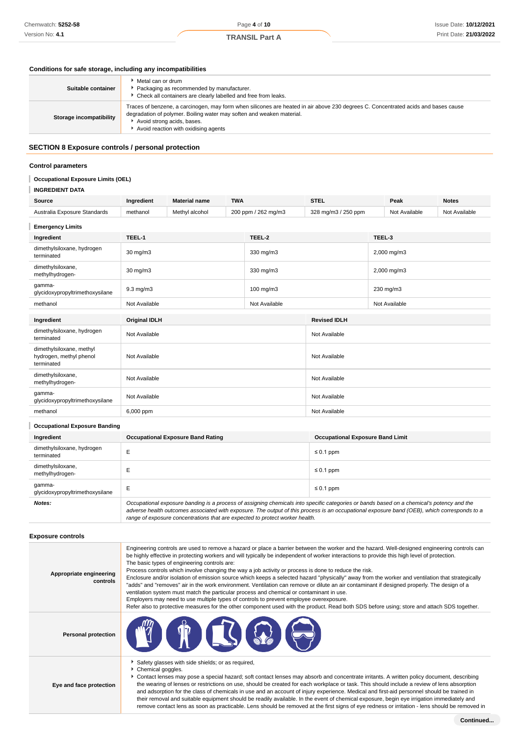#### **Conditions for safe storage, including any incompatibilities**

| Suitable container      | $\blacktriangleright$ Metal can or drum<br>Packaging as recommended by manufacturer.<br>• Check all containers are clearly labelled and free from leaks.                                                                                                                          |
|-------------------------|-----------------------------------------------------------------------------------------------------------------------------------------------------------------------------------------------------------------------------------------------------------------------------------|
| Storage incompatibility | Traces of benzene, a carcinogen, may form when silicones are heated in air above 230 degrees C. Concentrated acids and bases cause<br>degradation of polymer. Boiling water may soften and weaken material.<br>Avoid strong acids, bases.<br>Avoid reaction with oxidising agents |

### **SECTION 8 Exposure controls / personal protection**

#### **Control parameters**

#### I **Occupational Exposure Limits (OEL)**

### **INGREDIENT DATA**

| Source                                                            | Ingredient           | <b>Material name</b> | <b>TWA</b> |                     | <b>STEL</b>         |        | Peak          | <b>Notes</b>  |
|-------------------------------------------------------------------|----------------------|----------------------|------------|---------------------|---------------------|--------|---------------|---------------|
| Australia Exposure Standards                                      | methanol             | Methyl alcohol       |            | 200 ppm / 262 mg/m3 | 328 mg/m3 / 250 ppm |        | Not Available | Not Available |
| <b>Emergency Limits</b>                                           |                      |                      |            |                     |                     |        |               |               |
| Ingredient                                                        | TEEL-1               |                      |            | TEEL-2              |                     | TEEL-3 |               |               |
| dimethylsiloxane, hydrogen<br>terminated                          | $30 \text{ mg/m}$    |                      |            | 330 mg/m3           |                     |        | 2,000 mg/m3   |               |
| dimethylsiloxane,<br>methylhydrogen-                              | 30 mg/m3             |                      |            | 330 mg/m3           |                     |        | 2,000 mg/m3   |               |
| qamma-<br>glycidoxypropyltrimethoxysilane                         | $9.3$ mg/m $3$       |                      |            | 100 mg/m3           |                     |        | 230 mg/m3     |               |
| methanol                                                          | Not Available        |                      |            | Not Available       |                     |        | Not Available |               |
|                                                                   |                      |                      |            |                     |                     |        |               |               |
| Ingredient                                                        | <b>Original IDLH</b> |                      |            |                     | <b>Revised IDLH</b> |        |               |               |
| dimethylsiloxane, hydrogen<br>terminated                          | Not Available        |                      |            |                     | Not Available       |        |               |               |
| dimethylsiloxane, methyl<br>hydrogen, methyl phenol<br>terminated | Not Available        |                      |            |                     | Not Available       |        |               |               |
| dimethylsiloxane,<br>methylhydrogen-                              | Not Available        |                      |            |                     | Not Available       |        |               |               |
| gamma-<br>glycidoxypropyltrimethoxysilane                         | Not Available        |                      |            |                     | Not Available       |        |               |               |
| methanol                                                          | 6,000 ppm            |                      |            |                     | Not Available       |        |               |               |
| <b>Occupational Exposure Banding</b>                              |                      |                      |            |                     |                     |        |               |               |
|                                                                   |                      |                      |            |                     |                     |        |               |               |

|  | Ingredient                                                                        | <b>Occupational Exposure Band Rating</b>                                                                                                  | <b>Occupational Exposure Band Limit</b> |  |  |
|--|-----------------------------------------------------------------------------------|-------------------------------------------------------------------------------------------------------------------------------------------|-----------------------------------------|--|--|
|  | dimethylsiloxane, hydrogen<br>terminated                                          |                                                                                                                                           | $\leq 0.1$ ppm                          |  |  |
|  | dimethylsiloxane,<br>methylhydrogen-<br>qamma-<br>glycidoxypropyltrimethoxysilane |                                                                                                                                           | $\leq 0.1$ ppm                          |  |  |
|  |                                                                                   |                                                                                                                                           | $\leq 0.1$ ppm                          |  |  |
|  | Notes:                                                                            | Occupational exposure banding is a process of assigning chemicals into specific categories or bands based on a chemical's potency and the |                                         |  |  |

adverse health outcomes associated with exposure. The output of this process is an occupational exposure band (OEB), which corresponds to a range of exposure concentrations that are expected to protect worker health.

and adsorption for the class of chemicals in use and an account of injury experience. Medical and first-aid personnel should be trained in their removal and suitable equipment should be readily available. In the event of chemical exposure, begin eye irrigation immediately and remove contact lens as soon as practicable. Lens should be removed at the first signs of eye redness or irritation - lens should be removed in

#### **Exposure controls**

| Appropriate engineering<br>controls | Engineering controls are used to remove a hazard or place a barrier between the worker and the hazard. Well-designed engineering controls can<br>be highly effective in protecting workers and will typically be independent of worker interactions to provide this high level of protection.<br>The basic types of engineering controls are:<br>Process controls which involve changing the way a job activity or process is done to reduce the risk.<br>Enclosure and/or isolation of emission source which keeps a selected hazard "physically" away from the worker and ventilation that strategically<br>"adds" and "removes" air in the work environment. Ventilation can remove or dilute an air contaminant if designed properly. The design of a<br>ventilation system must match the particular process and chemical or contaminant in use.<br>Employers may need to use multiple types of controls to prevent employee overexposure.<br>Refer also to protective measures for the other component used with the product. Read both SDS before using; store and attach SDS together. |
|-------------------------------------|------------------------------------------------------------------------------------------------------------------------------------------------------------------------------------------------------------------------------------------------------------------------------------------------------------------------------------------------------------------------------------------------------------------------------------------------------------------------------------------------------------------------------------------------------------------------------------------------------------------------------------------------------------------------------------------------------------------------------------------------------------------------------------------------------------------------------------------------------------------------------------------------------------------------------------------------------------------------------------------------------------------------------------------------------------------------------------------------|
| <b>Personal protection</b>          | $\left( 0 \in \mathbb{C} \setminus \Omega \right)$                                                                                                                                                                                                                                                                                                                                                                                                                                                                                                                                                                                                                                                                                                                                                                                                                                                                                                                                                                                                                                             |
| Eye and face protection             | Safety glasses with side shields; or as required,<br>Chemical goggles.<br>Contact lenses may pose a special hazard; soft contact lenses may absorb and concentrate irritants. A written policy document, describing<br>the wearing of lenses or restrictions on use, should be created for each workplace or task. This should include a review of lens absorption                                                                                                                                                                                                                                                                                                                                                                                                                                                                                                                                                                                                                                                                                                                             |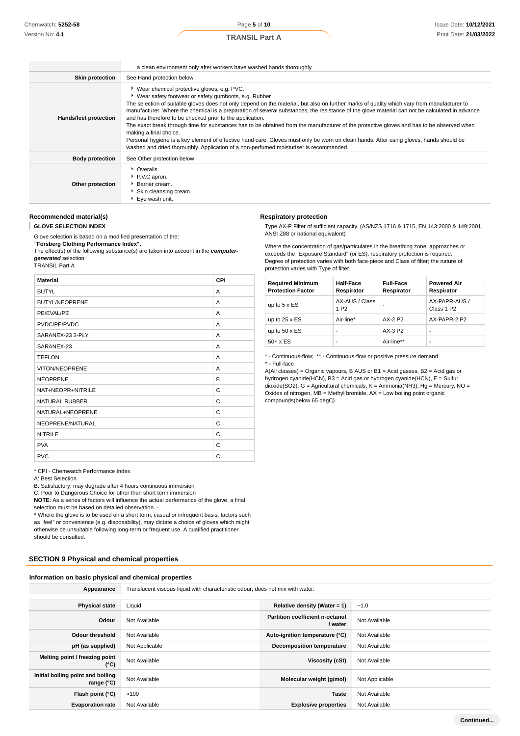|                        | a clean environment only after workers have washed hands thoroughly.                                                                                                                                                                                                                                                                                                                                                                                                                                                                                                                                                                                                                                                                                                                                                                                                            |
|------------------------|---------------------------------------------------------------------------------------------------------------------------------------------------------------------------------------------------------------------------------------------------------------------------------------------------------------------------------------------------------------------------------------------------------------------------------------------------------------------------------------------------------------------------------------------------------------------------------------------------------------------------------------------------------------------------------------------------------------------------------------------------------------------------------------------------------------------------------------------------------------------------------|
| <b>Skin protection</b> | See Hand protection below                                                                                                                                                                                                                                                                                                                                                                                                                                                                                                                                                                                                                                                                                                                                                                                                                                                       |
| Hands/feet protection  | ▶ Wear chemical protective gloves, e.g. PVC.<br>▶ Wear safety footwear or safety gumboots, e.g. Rubber<br>The selection of suitable gloves does not only depend on the material, but also on further marks of quality which vary from manufacturer to<br>manufacturer. Where the chemical is a preparation of several substances, the resistance of the glove material can not be calculated in advance<br>and has therefore to be checked prior to the application.<br>The exact break through time for substances has to be obtained from the manufacturer of the protective gloves and has to be observed when<br>making a final choice.<br>Personal hygiene is a key element of effective hand care. Gloves must only be worn on clean hands. After using gloves, hands should be<br>washed and dried thoroughly. Application of a non-perfumed moisturiser is recommended. |
| <b>Body protection</b> | See Other protection below                                                                                                                                                                                                                                                                                                                                                                                                                                                                                                                                                                                                                                                                                                                                                                                                                                                      |
| Other protection       | • Overalls.<br>P.V.C apron.<br><b>Barrier cream.</b><br>Skin cleansing cream.<br>▶ Eve wash unit.                                                                                                                                                                                                                                                                                                                                                                                                                                                                                                                                                                                                                                                                                                                                                                               |

### **Recommended material(s)**

**GLOVE SELECTION INDEX** ı

Glove selection is based on a modified presentation of the:

**"Forsberg Clothing Performance Index".** The effect(s) of the following substance(s) are taken into account in the **computergenerated** selection:

TRANSIL Part A

| <b>Material</b>       | <b>CPI</b> |
|-----------------------|------------|
| <b>BUTYL</b>          | A          |
| <b>BUTYL/NEOPRENE</b> | A          |
| PE/EVAL/PE            | A          |
| PVDC/PE/PVDC          | A          |
| SARANEX-23 2-PLY      | A          |
| SARANEX-23            | A          |
| <b>TEFLON</b>         | A          |
| <b>VITON/NEOPRENE</b> | A          |
| <b>NEOPRENE</b>       | B          |
| NAT+NEOPR+NITRILE     | C          |
| <b>NATURAL RUBBER</b> | C          |
| NATURAL+NEOPRENE      | C          |
| NEOPRENE/NATURAL      | C          |
| <b>NITRILE</b>        | C          |
| <b>PVA</b>            | C          |
| <b>PVC</b>            | C          |

\* CPI - Chemwatch Performance Index

A: Best Selection

B: Satisfactory; may degrade after 4 hours continuous immersion

C: Poor to Dangerous Choice for other than short term immersion

**NOTE**: As a series of factors will influence the actual performance of the glove, a final selection must be based on detailed observation. -

\* Where the glove is to be used on a short term, casual or infrequent basis, factors such as "feel" or convenience (e.g. disposability), may dictate a choice of gloves which might otherwise be unsuitable following long-term or frequent use. A qualified practitioner should be consulted.

#### **SECTION 9 Physical and chemical properties**

#### **Information on basic physical and chemical properties**

| Appearance                                        | Translucent viscous liquid with characteristic odour; does not mix with water. |                                                   |                |  |
|---------------------------------------------------|--------------------------------------------------------------------------------|---------------------------------------------------|----------------|--|
|                                                   |                                                                                |                                                   |                |  |
| <b>Physical state</b>                             | Liquid                                                                         | Relative density (Water = $1$ )                   | $-1.0$         |  |
| Odour                                             | Not Available                                                                  | <b>Partition coefficient n-octanol</b><br>/ water | Not Available  |  |
| <b>Odour threshold</b>                            | Not Available                                                                  | Auto-ignition temperature (°C)                    | Not Available  |  |
| pH (as supplied)                                  | Not Applicable                                                                 | <b>Decomposition temperature</b>                  | Not Available  |  |
| Melting point / freezing point<br>$(^{\circ}C)$   | Not Available                                                                  | Viscosity (cSt)                                   | Not Available  |  |
| Initial boiling point and boiling<br>range $(°C)$ | Not Available                                                                  | Molecular weight (g/mol)                          | Not Applicable |  |
| Flash point (°C)                                  | >100                                                                           | <b>Taste</b>                                      | Not Available  |  |
| <b>Evaporation rate</b>                           | Not Available                                                                  | <b>Explosive properties</b>                       | Not Available  |  |

#### **Respiratory protection**

Type AX-P Filter of sufficient capacity. (AS/NZS 1716 & 1715, EN 143:2000 & 149:2001, ANSI Z88 or national equivalent)

Where the concentration of gas/particulates in the breathing zone, approaches or exceeds the "Exposure Standard" (or ES), respiratory protection is required. Degree of protection varies with both face-piece and Class of filter; the nature of protection varies with Type of filter.

| <b>Required Minimum</b><br><b>Protection Factor</b> | Half-Face<br>Respirator            | <b>Full-Face</b><br>Respirator | <b>Powered Air</b><br>Respirator        |
|-----------------------------------------------------|------------------------------------|--------------------------------|-----------------------------------------|
| up to $5 \times ES$                                 | AX-AUS / Class<br>1 P <sub>2</sub> |                                | AX-PAPR-AUS /<br>Class 1 P <sub>2</sub> |
| up to $25 \times ES$                                | Air-line*                          | AX-2 P2                        | AX-PAPR-2 P2                            |
| up to $50 \times ES$                                |                                    | AX-3 P2                        |                                         |
| $50+ x ES$                                          |                                    | Air-line**                     | -                                       |

\* - Continuous-flow; \*\* - Continuous-flow or positive pressure demand ^ - Full-face

A(All classes) = Organic vapours, B AUS or B1 = Acid gasses, B2 = Acid gas or hydrogen cyanide(HCN), B3 = Acid gas or hydrogen cyanide(HCN), E = Sulfur dioxide(SO2), G = Agricultural chemicals, K = Ammonia(NH3), Hg = Mercury, NO = Oxides of nitrogen,  $MB =$  Methyl bromide,  $AX =$  Low boiling point organic compounds(below 65 degC)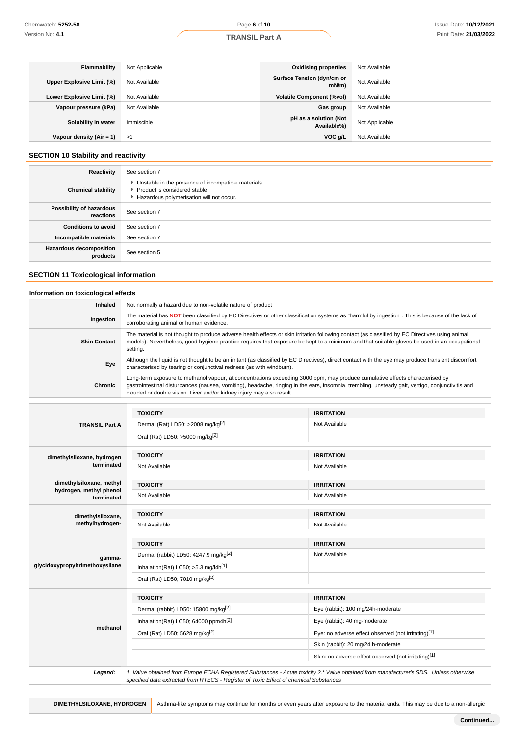| Flammability              | Not Applicable | <b>Oxidising properties</b>          | Not Available  |
|---------------------------|----------------|--------------------------------------|----------------|
| Upper Explosive Limit (%) | Not Available  | Surface Tension (dyn/cm or<br>mN/m   | Not Available  |
| Lower Explosive Limit (%) | Not Available  | <b>Volatile Component (%vol)</b>     | Not Available  |
| Vapour pressure (kPa)     | Not Available  | Gas group                            | Not Available  |
| Solubility in water       | Immiscible     | pH as a solution (Not<br>Available%) | Not Applicable |
| Vapour density (Air = 1)  | >1             | VOC g/L                              | Not Available  |

### **SECTION 10 Stability and reactivity**

| Reactivity                                 | See section 7                                                                                                                    |
|--------------------------------------------|----------------------------------------------------------------------------------------------------------------------------------|
| <b>Chemical stability</b>                  | Unstable in the presence of incompatible materials.<br>Product is considered stable.<br>Hazardous polymerisation will not occur. |
| Possibility of hazardous<br>reactions      | See section 7                                                                                                                    |
| <b>Conditions to avoid</b>                 | See section 7                                                                                                                    |
| Incompatible materials                     | See section 7                                                                                                                    |
| <b>Hazardous decomposition</b><br>products | See section 5                                                                                                                    |

### **SECTION 11 Toxicological information**

### **Information on toxicological effects**

| Inhaled             | Not normally a hazard due to non-volatile nature of product                                                                                                                                                                                                                                                                                               |
|---------------------|-----------------------------------------------------------------------------------------------------------------------------------------------------------------------------------------------------------------------------------------------------------------------------------------------------------------------------------------------------------|
| Ingestion           | The material has NOT been classified by EC Directives or other classification systems as "harmful by ingestion". This is because of the lack of<br>corroborating animal or human evidence.                                                                                                                                                                |
| <b>Skin Contact</b> | The material is not thought to produce adverse health effects or skin irritation following contact (as classified by EC Directives using animal<br>models). Nevertheless, good hygiene practice requires that exposure be kept to a minimum and that suitable gloves be used in an occupational<br>setting.                                               |
| Eye                 | Although the liquid is not thought to be an irritant (as classified by EC Directives), direct contact with the eye may produce transient discomfort<br>characterised by tearing or conjunctival redness (as with windburn).                                                                                                                               |
| Chronic             | Long-term exposure to methanol vapour, at concentrations exceeding 3000 ppm, may produce cumulative effects characterised by<br>gastrointestinal disturbances (nausea, vomiting), headache, ringing in the ears, insomnia, trembling, unsteady gait, vertigo, conjunctivitis and<br>clouded or double vision. Liver and/or kidney injury may also result. |

|                                       | <b>TOXICITY</b>                                                                                                                                                                                                                 | <b>IRRITATION</b>                                    |
|---------------------------------------|---------------------------------------------------------------------------------------------------------------------------------------------------------------------------------------------------------------------------------|------------------------------------------------------|
| <b>TRANSIL Part A</b>                 | Dermal (Rat) LD50: >2008 mg/kg[2]                                                                                                                                                                                               | Not Available                                        |
|                                       | Oral (Rat) LD50: >5000 mg/kg <sup>[2]</sup>                                                                                                                                                                                     |                                                      |
| dimethylsiloxane, hydrogen            | <b>TOXICITY</b>                                                                                                                                                                                                                 | <b>IRRITATION</b>                                    |
| terminated                            | Not Available                                                                                                                                                                                                                   | Not Available                                        |
| dimethylsiloxane, methyl              | <b>TOXICITY</b>                                                                                                                                                                                                                 | <b>IRRITATION</b>                                    |
| hydrogen, methyl phenol<br>terminated | Not Available                                                                                                                                                                                                                   | Not Available                                        |
| dimethylsiloxane,                     | <b>TOXICITY</b>                                                                                                                                                                                                                 | <b>IRRITATION</b>                                    |
| methylhydrogen-                       | Not Available                                                                                                                                                                                                                   | Not Available                                        |
|                                       | <b>TOXICITY</b>                                                                                                                                                                                                                 | <b>IRRITATION</b>                                    |
| gamma-                                | Dermal (rabbit) LD50: 4247.9 mg/kg <sup>[2]</sup>                                                                                                                                                                               | Not Available                                        |
| glycidoxypropyltrimethoxysilane       | Inhalation(Rat) LC50; $>5.3$ mg/l4h <sup>[1]</sup>                                                                                                                                                                              |                                                      |
|                                       | Oral (Rat) LD50; 7010 mg/kg <sup>[2]</sup>                                                                                                                                                                                      |                                                      |
|                                       | <b>TOXICITY</b>                                                                                                                                                                                                                 | <b>IRRITATION</b>                                    |
|                                       | Dermal (rabbit) LD50: 15800 mg/kg <sup>[2]</sup>                                                                                                                                                                                | Eye (rabbit): 100 mg/24h-moderate                    |
|                                       | Inhalation(Rat) LC50; 64000 ppm4h <sup>[2]</sup>                                                                                                                                                                                | Eye (rabbit): 40 mg-moderate                         |
| methanol                              | Oral (Rat) LD50; 5628 mg/kg[2]                                                                                                                                                                                                  | Eye: no adverse effect observed (not irritating)[1]  |
|                                       |                                                                                                                                                                                                                                 | Skin (rabbit): 20 mg/24 h-moderate                   |
|                                       |                                                                                                                                                                                                                                 | Skin: no adverse effect observed (not irritating)[1] |
| Legend:                               | 1. Value obtained from Europe ECHA Registered Substances - Acute toxicity 2.* Value obtained from manufacturer's SDS. Unless otherwise<br>specified data extracted from RTECS - Register of Toxic Effect of chemical Substances |                                                      |

**DIMETHYLSILOXANE, HYDROGEN** Asthma-like symptoms may continue for months or even years after exposure to the material ends. This may be due to a non-allergic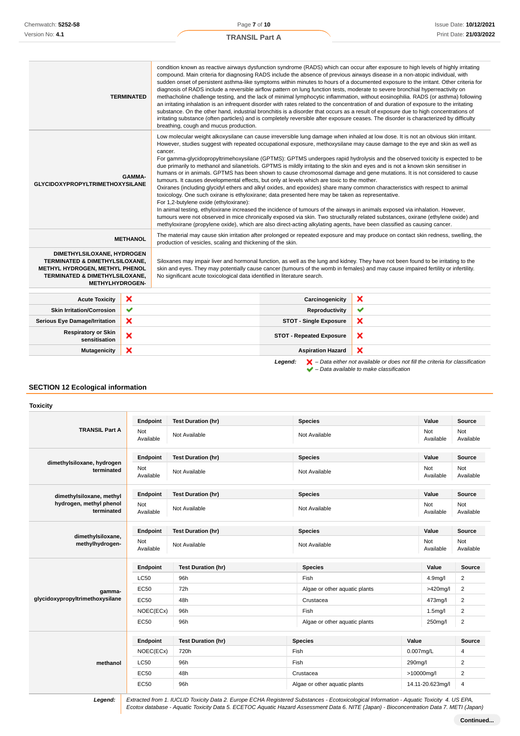### **TRANSIL Part A**

| <b>TERMINATED</b>                                                                                                                                          |                 | condition known as reactive airways dysfunction syndrome (RADS) which can occur after exposure to high levels of highly irritating<br>compound. Main criteria for diagnosing RADS include the absence of previous airways disease in a non-atopic individual, with<br>sudden onset of persistent asthma-like symptoms within minutes to hours of a documented exposure to the irritant. Other criteria for<br>diagnosis of RADS include a reversible airflow pattern on lung function tests, moderate to severe bronchial hyperreactivity on<br>methacholine challenge testing, and the lack of minimal lymphocytic inflammation, without eosinophilia. RADS (or asthma) following<br>an irritating inhalation is an infrequent disorder with rates related to the concentration of and duration of exposure to the irritating<br>substance. On the other hand, industrial bronchitis is a disorder that occurs as a result of exposure due to high concentrations of<br>irritating substance (often particles) and is completely reversible after exposure ceases. The disorder is characterized by difficulty<br>breathing, cough and mucus production.                                                                                                                                                                                                                                                                                                     |                                 |                                                                                                                                                                                                                                                                          |  |
|------------------------------------------------------------------------------------------------------------------------------------------------------------|-----------------|---------------------------------------------------------------------------------------------------------------------------------------------------------------------------------------------------------------------------------------------------------------------------------------------------------------------------------------------------------------------------------------------------------------------------------------------------------------------------------------------------------------------------------------------------------------------------------------------------------------------------------------------------------------------------------------------------------------------------------------------------------------------------------------------------------------------------------------------------------------------------------------------------------------------------------------------------------------------------------------------------------------------------------------------------------------------------------------------------------------------------------------------------------------------------------------------------------------------------------------------------------------------------------------------------------------------------------------------------------------------------------------------------------------------------------------------------------------|---------------------------------|--------------------------------------------------------------------------------------------------------------------------------------------------------------------------------------------------------------------------------------------------------------------------|--|
| GAMMA-<br><b>GLYCIDOXYPROPYLTRIMETHOXYSILANE</b>                                                                                                           |                 | Low molecular weight alkoxysilane can cause irreversible lung damage when inhaled at low dose. It is not an obvious skin irritant.<br>However, studies suggest with repeated occupational exposure, methoxysilane may cause damage to the eye and skin as well as<br>cancer.<br>For gamma-glycidopropyltrimehoxysilane (GPTMS): GPTMS undergoes rapid hydrolysis and the observed toxicity is expected to be<br>due primarily to methanol and silanetriols. GPTMS is mildly irritating to the skin and eyes and is not a known skin sensitiser in<br>humans or in animals. GPTMS has been shown to cause chromosomal damage and gene mutations. It is not considered to cause<br>tumours. It causes developmental effects, but only at levels which are toxic to the mother.<br>Oxiranes (including glycidyl ethers and alkyl oxides, and epoxides) share many common characteristics with respect to animal<br>toxicology. One such oxirane is ethyloxirane; data presented here may be taken as representative.<br>For 1,2-butylene oxide (ethyloxirane):<br>In animal testing, ethyloxirane increased the incidence of tumours of the airways in animals exposed via inhalation. However,<br>tumours were not observed in mice chronically exposed via skin. Two structurally related substances, oxirane (ethylene oxide) and<br>methyloxirane (propylene oxide), which are also direct-acting alkylating agents, have been classified as causing cancer. |                                 |                                                                                                                                                                                                                                                                          |  |
|                                                                                                                                                            | <b>METHANOL</b> | The material may cause skin irritation after prolonged or repeated exposure and may produce on contact skin redness, swelling, the<br>production of vesicles, scaling and thickening of the skin.                                                                                                                                                                                                                                                                                                                                                                                                                                                                                                                                                                                                                                                                                                                                                                                                                                                                                                                                                                                                                                                                                                                                                                                                                                                             |                                 |                                                                                                                                                                                                                                                                          |  |
| DIMETHYLSILOXANE, HYDROGEN<br>TERMINATED & DIMETHYLSILOXANE,<br>METHYL HYDROGEN, METHYL PHENOL<br>TERMINATED & DIMETHYLSILOXANE,<br><b>METHYLHYDROGEN-</b> |                 | No significant acute toxicological data identified in literature search.                                                                                                                                                                                                                                                                                                                                                                                                                                                                                                                                                                                                                                                                                                                                                                                                                                                                                                                                                                                                                                                                                                                                                                                                                                                                                                                                                                                      |                                 | Siloxanes may impair liver and hormonal function, as well as the lung and kidney. They have not been found to be irritating to the<br>skin and eyes. They may potentially cause cancer (tumours of the womb in females) and may cause impaired fertility or infertility. |  |
| <b>Acute Toxicity</b>                                                                                                                                      | ×               |                                                                                                                                                                                                                                                                                                                                                                                                                                                                                                                                                                                                                                                                                                                                                                                                                                                                                                                                                                                                                                                                                                                                                                                                                                                                                                                                                                                                                                                               | Carcinogenicity                 | ×                                                                                                                                                                                                                                                                        |  |
| <b>Skin Irritation/Corrosion</b>                                                                                                                           | ✔               |                                                                                                                                                                                                                                                                                                                                                                                                                                                                                                                                                                                                                                                                                                                                                                                                                                                                                                                                                                                                                                                                                                                                                                                                                                                                                                                                                                                                                                                               | Reproductivity                  | ✔                                                                                                                                                                                                                                                                        |  |
| ×<br><b>Serious Eye Damage/Irritation</b>                                                                                                                  |                 | <b>STOT - Single Exposure</b>                                                                                                                                                                                                                                                                                                                                                                                                                                                                                                                                                                                                                                                                                                                                                                                                                                                                                                                                                                                                                                                                                                                                                                                                                                                                                                                                                                                                                                 | ×                               |                                                                                                                                                                                                                                                                          |  |
| <b>Respiratory or Skin</b><br>×<br>sensitisation                                                                                                           |                 |                                                                                                                                                                                                                                                                                                                                                                                                                                                                                                                                                                                                                                                                                                                                                                                                                                                                                                                                                                                                                                                                                                                                                                                                                                                                                                                                                                                                                                                               | <b>STOT - Repeated Exposure</b> | ×                                                                                                                                                                                                                                                                        |  |
| ×<br><b>Mutagenicity</b>                                                                                                                                   |                 |                                                                                                                                                                                                                                                                                                                                                                                                                                                                                                                                                                                                                                                                                                                                                                                                                                                                                                                                                                                                                                                                                                                                                                                                                                                                                                                                                                                                                                                               | <b>Aspiration Hazard</b>        | ×                                                                                                                                                                                                                                                                        |  |
|                                                                                                                                                            |                 |                                                                                                                                                                                                                                                                                                                                                                                                                                                                                                                                                                                                                                                                                                                                                                                                                                                                                                                                                                                                                                                                                                                                                                                                                                                                                                                                                                                                                                                               |                                 |                                                                                                                                                                                                                                                                          |  |

**Legend:**  $\mathbf{X}$  – Data either not available or does not fill the criteria for classification – Data available to make classification

### **SECTION 12 Ecological information**

**Toxicity**

|                                          | Endpoint         | <b>Test Duration (hr)</b> | <b>Species</b>                |                               | Value                | Source                  |
|------------------------------------------|------------------|---------------------------|-------------------------------|-------------------------------|----------------------|-------------------------|
| <b>TRANSIL Part A</b>                    | Not<br>Available | Not Available             | Not Available                 |                               | Not<br>Available     | Not<br>Available        |
|                                          | Endpoint         | <b>Test Duration (hr)</b> | <b>Species</b>                |                               | Value                | Source                  |
| dimethylsiloxane, hydrogen<br>terminated | Not<br>Available | Not Available             | Not Available                 |                               | Not<br>Available     | Not<br>Available        |
| dimethylsiloxane, methyl                 | Endpoint         | <b>Test Duration (hr)</b> | <b>Species</b>                |                               | Value                | Source                  |
| hydrogen, methyl phenol<br>terminated    | Not<br>Available | Not Available             | Not Available                 |                               | Not<br>Available     | Not<br>Available        |
|                                          | Endpoint         | <b>Test Duration (hr)</b> | <b>Species</b>                |                               | Value                | Source                  |
| dimethylsiloxane,<br>methylhydrogen-     | Not<br>Available | Not Available             | Not Available                 |                               | Not<br>Available     | Not<br>Available        |
|                                          | Endpoint         | <b>Test Duration (hr)</b> | <b>Species</b>                |                               | Value                | Source                  |
|                                          | <b>LC50</b>      | 96h                       | Fish                          |                               | 4.9mg/l              | $\overline{\mathbf{c}}$ |
| gamma-                                   | <b>EC50</b>      | 72h                       |                               | Algae or other aquatic plants | >420mg/l             | $\overline{c}$          |
| glycidoxypropyltrimethoxysilane          | <b>EC50</b>      | 48h                       | Crustacea                     |                               | 473mg/l              | $\overline{c}$          |
|                                          | NOEC(ECx)        | 96h                       | Fish                          |                               | 1.5 <sub>m</sub> g/l | $\overline{2}$          |
|                                          | EC50             | 96h                       |                               | Algae or other aquatic plants | 250mg/l              | $\overline{c}$          |
|                                          | Endpoint         | <b>Test Duration (hr)</b> | <b>Species</b>                | Value                         |                      | <b>Source</b>           |
|                                          | NOEC(ECx)        | 720h                      | Fish                          |                               | $0.007$ mg/L         | 4                       |
| methanol                                 | <b>LC50</b>      | 96h                       | Fish                          | 290mg/l                       |                      | 2                       |
|                                          | EC50             | 48h                       | Crustacea                     |                               | >10000mg/l           | $\overline{2}$          |
|                                          | <b>EC50</b>      | 96h                       | Algae or other aquatic plants |                               | 14.11-20.623mg/l     | 4                       |

**Legend:** Extracted from 1. IUCLID Toxicity Data 2. Europe ECHA Registered Substances - Ecotoxicological Information - Aquatic Toxicity 4. US EPA, Ecotox database - Aquatic Toxicity Data 5. ECETOC Aquatic Hazard Assessment Data 6. NITE (Japan) - Bioconcentration Data 7. METI (Japan)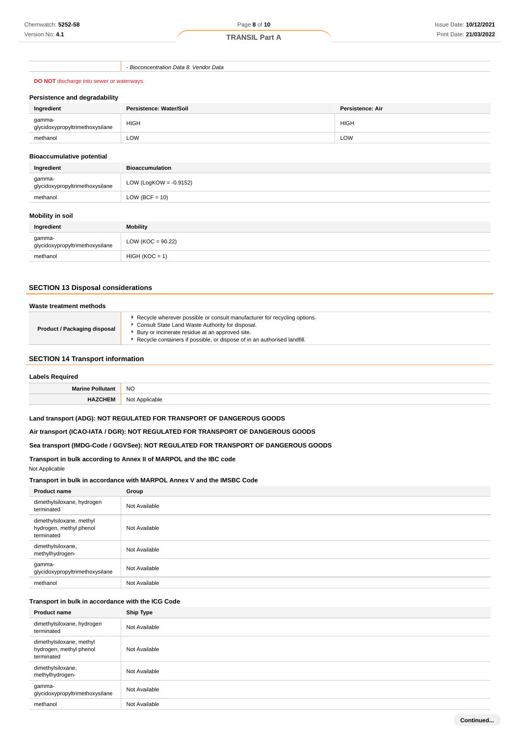- Bioconcentration Data 8. Vendor Data

### **DO NOT** discharge into sewer or waterways.

#### **Persistence and degradability**

| Ingredient                                | Persistence: Water/Soil | Persistence: Air |
|-------------------------------------------|-------------------------|------------------|
| gamma-<br>glycidoxypropyltrimethoxysilane | <b>HIGH</b>             | <b>HIGH</b>      |
| methanol                                  | LOW                     | LOW              |

#### **Bioaccumulative potential**

| Ingredient                                | <b>Bioaccumulation</b>    |
|-------------------------------------------|---------------------------|
| gamma-<br>glycidoxypropyltrimethoxysilane | LOW (LogKOW = $-0.9152$ ) |
| methanol                                  | $LOW (BCF = 10)$          |
|                                           |                           |

### **Mobility in soil**

| Ingredient                                | <b>Mobility</b>       |
|-------------------------------------------|-----------------------|
| gamma-<br>glycidoxypropyltrimethoxysilane | LOW ( $KOC = 90.22$ ) |
| methanol                                  | $HIGH (KOC = 1)$      |

### **SECTION 13 Disposal considerations**

| Waste treatment methods             |                                                                                                                                                                                                                                                             |  |
|-------------------------------------|-------------------------------------------------------------------------------------------------------------------------------------------------------------------------------------------------------------------------------------------------------------|--|
| <b>Product / Packaging disposal</b> | Recycle wherever possible or consult manufacturer for recycling options.<br>Consult State Land Waste Authority for disposal.<br>Bury or incinerate residue at an approved site.<br>Recycle containers if possible, or dispose of in an authorised landfill. |  |

### **SECTION 14 Transport information**

#### **Labels Required**

| 11-<br> | <b>NO</b> |  |
|---------|-----------|--|
|         | Nı        |  |

### **Land transport (ADG): NOT REGULATED FOR TRANSPORT OF DANGEROUS GOODS**

#### **Air transport (ICAO-IATA / DGR): NOT REGULATED FOR TRANSPORT OF DANGEROUS GOODS**

### **Sea transport (IMDG-Code / GGVSee): NOT REGULATED FOR TRANSPORT OF DANGEROUS GOODS**

#### **Transport in bulk according to Annex II of MARPOL and the IBC code**

Not Applicable

#### **Transport in bulk in accordance with MARPOL Annex V and the IMSBC Code**

| <b>Product name</b>                                               | Group         |
|-------------------------------------------------------------------|---------------|
| dimethylsiloxane, hydrogen<br>terminated                          | Not Available |
| dimethylsiloxane, methyl<br>hydrogen, methyl phenol<br>terminated | Not Available |
| dimethylsiloxane,<br>methylhydrogen-                              | Not Available |
| gamma-<br>glycidoxypropyltrimethoxysilane                         | Not Available |
| methanol                                                          | Not Available |

#### **Transport in bulk in accordance with the ICG Code**

|  | <b>Product name</b>                                               | <b>Ship Type</b> |
|--|-------------------------------------------------------------------|------------------|
|  | dimethylsiloxane, hydrogen<br>terminated                          | Not Available    |
|  | dimethylsiloxane, methyl<br>hydrogen, methyl phenol<br>terminated | Not Available    |
|  | dimethylsiloxane,<br>methylhydrogen-                              | Not Available    |
|  | gamma-<br>glycidoxypropyltrimethoxysilane                         | Not Available    |
|  | methanol                                                          | Not Available    |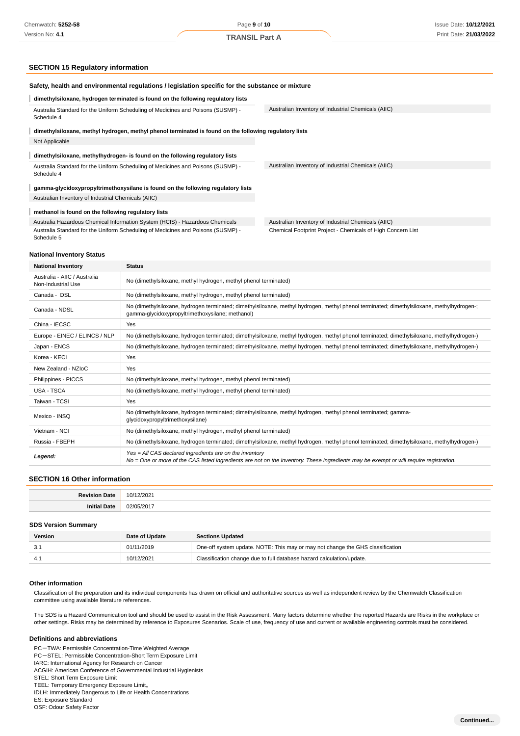### **SECTION 15 Regulatory information**

| Safety, health and environmental regulations / legislation specific for the substance or mixture       |                                                             |  |  |  |
|--------------------------------------------------------------------------------------------------------|-------------------------------------------------------------|--|--|--|
| dimethylsiloxane, hydrogen terminated is found on the following regulatory lists                       |                                                             |  |  |  |
| Australia Standard for the Uniform Scheduling of Medicines and Poisons (SUSMP) -<br>Schedule 4         | Australian Inventory of Industrial Chemicals (AIIC)         |  |  |  |
| dimethylsiloxane, methyl hydrogen, methyl phenol terminated is found on the following regulatory lists |                                                             |  |  |  |
| Not Applicable                                                                                         |                                                             |  |  |  |
| dimethylsiloxane, methylhydrogen- is found on the following regulatory lists                           |                                                             |  |  |  |
| Australia Standard for the Uniform Scheduling of Medicines and Poisons (SUSMP) -<br>Schedule 4         | Australian Inventory of Industrial Chemicals (AIIC)         |  |  |  |
| gamma-glycidoxypropyltrimethoxysilane is found on the following regulatory lists                       |                                                             |  |  |  |
| Australian Inventory of Industrial Chemicals (AIIC)                                                    |                                                             |  |  |  |
| methanol is found on the following regulatory lists                                                    |                                                             |  |  |  |
| Australia Hazardous Chemical Information System (HCIS) - Hazardous Chemicals                           | Australian Inventory of Industrial Chemicals (AIIC)         |  |  |  |
| Australia Standard for the Uniform Scheduling of Medicines and Poisons (SUSMP) -<br>Schedule 5         | Chemical Footprint Project - Chemicals of High Concern List |  |  |  |

#### **National Inventory Status**

| <b>National Inventory</b>                          | <b>Status</b>                                                                                                                                                                                       |  |  |
|----------------------------------------------------|-----------------------------------------------------------------------------------------------------------------------------------------------------------------------------------------------------|--|--|
| Australia - AIIC / Australia<br>Non-Industrial Use | No (dimethylsiloxane, methyl hydrogen, methyl phenol terminated)                                                                                                                                    |  |  |
| Canada - DSL                                       | No (dimethylsiloxane, methyl hydrogen, methyl phenol terminated)                                                                                                                                    |  |  |
| Canada - NDSL                                      | No (dimethylsiloxane, hydrogen terminated; dimethylsiloxane, methyl hydrogen, methyl phenol terminated; dimethylsiloxane, methylhydrogen-;<br>gamma-glycidoxypropyltrimethoxysilane; methanol)      |  |  |
| China - IECSC                                      | Yes                                                                                                                                                                                                 |  |  |
| Europe - EINEC / ELINCS / NLP                      | No (dimethylsiloxane, hydrogen terminated; dimethylsiloxane, methyl hydrogen, methyl phenol terminated; dimethylsiloxane, methylhydrogen-)                                                          |  |  |
| Japan - ENCS                                       | No (dimethylsiloxane, hydrogen terminated; dimethylsiloxane, methyl hydrogen, methyl phenol terminated; dimethylsiloxane, methylhydrogen-)                                                          |  |  |
| Korea - KECI                                       | Yes                                                                                                                                                                                                 |  |  |
| New Zealand - NZIoC                                | Yes                                                                                                                                                                                                 |  |  |
| Philippines - PICCS                                | No (dimethylsiloxane, methyl hydrogen, methyl phenol terminated)                                                                                                                                    |  |  |
| <b>USA - TSCA</b>                                  | No (dimethylsiloxane, methyl hydrogen, methyl phenol terminated)                                                                                                                                    |  |  |
| Taiwan - TCSI                                      | Yes                                                                                                                                                                                                 |  |  |
| Mexico - INSQ                                      | No (dimethylsiloxane, hydrogen terminated; dimethylsiloxane, methyl hydrogen, methyl phenol terminated; gamma-<br>glycidoxypropyltrimethoxysilane)                                                  |  |  |
| Vietnam - NCI                                      | No (dimethylsiloxane, methyl hydrogen, methyl phenol terminated)                                                                                                                                    |  |  |
| Russia - FBEPH                                     | No (dimethylsiloxane, hydrogen terminated; dimethylsiloxane, methyl hydrogen, methyl phenol terminated; dimethylsiloxane, methylhydrogen-)                                                          |  |  |
| Legend:                                            | $Yes = All CAS declared ingredients are on the inventory$<br>No = One or more of the CAS listed ingredients are not on the inventory. These ingredients may be exempt or will require registration. |  |  |

#### **SECTION 16 Other information**

| Davietou    | $\sim$                                         |
|-------------|------------------------------------------------|
| Date        | ∠∪∠                                            |
| Inr<br>late | $\sim$ $\sim$<br>v<br>$\overline{\phantom{a}}$ |

#### **SDS Version Summary**

| Version | Date of Update | <b>Sections Updated</b>                                                        |
|---------|----------------|--------------------------------------------------------------------------------|
|         | 01/11/2019     | One-off system update. NOTE: This may or may not change the GHS classification |
|         | 10/12/2021     | Classification change due to full database hazard calculation/update.          |

#### **Other information**

Classification of the preparation and its individual components has drawn on official and authoritative sources as well as independent review by the Chemwatch Classification committee using available literature references.

The SDS is a Hazard Communication tool and should be used to assist in the Risk Assessment. Many factors determine whether the reported Hazards are Risks in the workplace or other settings. Risks may be determined by reference to Exposures Scenarios. Scale of use, frequency of use and current or available engineering controls must be considered.

#### **Definitions and abbreviations**

PC-TWA: Permissible Concentration-Time Weighted Average

PC-STEL: Permissible Concentration-Short Term Exposure Limit

IARC: International Agency for Research on Cancer

ACGIH: American Conference of Governmental Industrial Hygienists STEL: Short Term Exposure Limit

IDLH: Immediately Dangerous to Life or Health Concentrations

ES: Exposure Standard OSF: Odour Safety Factor

TEEL: Temporary Emergency Exposure Limit。